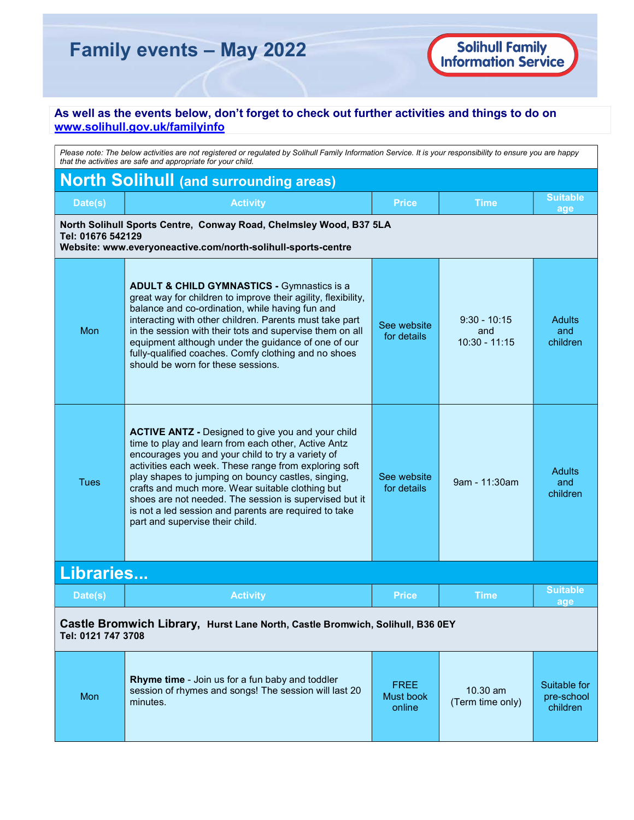# Family events – May 2022

## As well as the events below, don't forget to check out further activities and things to do on www.solihull.gov.uk/familyinfo

|                                                                                                                                                         | Please note: The below activities are not registered or regulated by Solihull Family Information Service. It is your responsibility to ensure you are happy                                                                                                                                                                                                                                                                                                                                   |                                           |                                          |                                        |
|---------------------------------------------------------------------------------------------------------------------------------------------------------|-----------------------------------------------------------------------------------------------------------------------------------------------------------------------------------------------------------------------------------------------------------------------------------------------------------------------------------------------------------------------------------------------------------------------------------------------------------------------------------------------|-------------------------------------------|------------------------------------------|----------------------------------------|
|                                                                                                                                                         | that the activities are safe and appropriate for your child.                                                                                                                                                                                                                                                                                                                                                                                                                                  |                                           |                                          |                                        |
| <b>North Solihull (and surrounding areas)</b>                                                                                                           |                                                                                                                                                                                                                                                                                                                                                                                                                                                                                               |                                           |                                          |                                        |
| Date(s)                                                                                                                                                 | <b>Activity</b>                                                                                                                                                                                                                                                                                                                                                                                                                                                                               | <b>Price</b>                              | Time                                     | <b>Suitable</b><br>age                 |
| North Solihull Sports Centre, Conway Road, Chelmsley Wood, B37 5LA<br>Tel: 01676 542129<br>Website: www.everyoneactive.com/north-solihull-sports-centre |                                                                                                                                                                                                                                                                                                                                                                                                                                                                                               |                                           |                                          |                                        |
| Mon                                                                                                                                                     | <b>ADULT &amp; CHILD GYMNASTICS - Gymnastics is a</b><br>great way for children to improve their agility, flexibility,<br>balance and co-ordination, while having fun and<br>interacting with other children. Parents must take part<br>in the session with their tots and supervise them on all<br>equipment although under the guidance of one of our<br>fully-qualified coaches. Comfy clothing and no shoes<br>should be worn for these sessions.                                         | See website<br>for details                | $9:30 - 10:15$<br>and<br>$10:30 - 11:15$ | <b>Adults</b><br>and<br>children       |
| <b>Tues</b>                                                                                                                                             | <b>ACTIVE ANTZ - Designed to give you and your child</b><br>time to play and learn from each other, Active Antz<br>encourages you and your child to try a variety of<br>activities each week. These range from exploring soft<br>play shapes to jumping on bouncy castles, singing,<br>crafts and much more. Wear suitable clothing but<br>shoes are not needed. The session is supervised but it<br>is not a led session and parents are required to take<br>part and supervise their child. | See website<br>for details                | 9am - 11:30am                            | <b>Adults</b><br>and<br>children       |
| Libraries                                                                                                                                               |                                                                                                                                                                                                                                                                                                                                                                                                                                                                                               |                                           |                                          |                                        |
| Date(s)                                                                                                                                                 | <b>Activity</b>                                                                                                                                                                                                                                                                                                                                                                                                                                                                               | <b>Price</b>                              | Time                                     | <b>Suitable</b><br>age                 |
| Castle Bromwich Library, Hurst Lane North, Castle Bromwich, Solihull, B36 0EY<br>Tel: 0121 747 3708                                                     |                                                                                                                                                                                                                                                                                                                                                                                                                                                                                               |                                           |                                          |                                        |
| Mon                                                                                                                                                     | Rhyme time - Join us for a fun baby and toddler<br>session of rhymes and songs! The session will last 20<br>minutes.                                                                                                                                                                                                                                                                                                                                                                          | <b>FREE</b><br><b>Must book</b><br>online | 10.30 am<br>(Term time only)             | Suitable for<br>pre-school<br>children |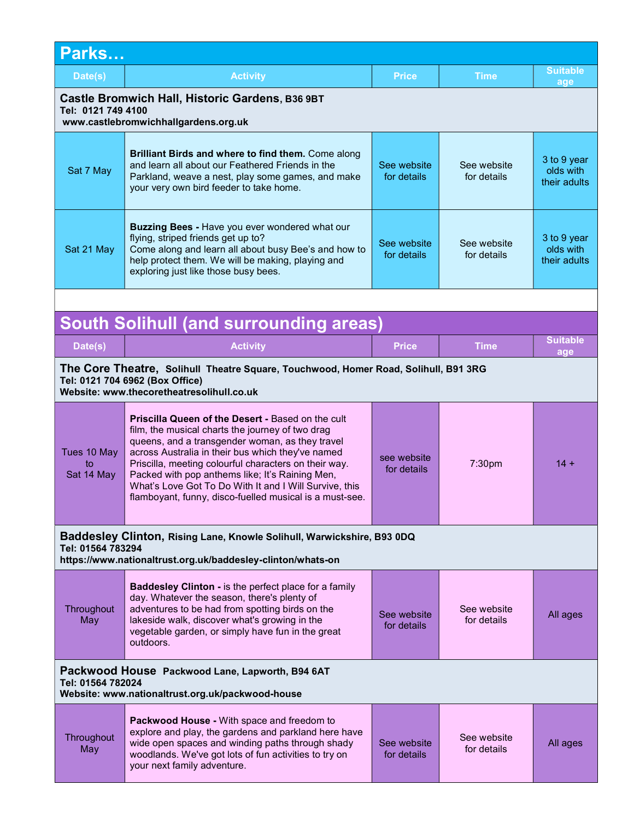| Parks                                                                                                         |                                                                                                                                                                                                                                                                                                                                                                                                                                                       |                            |                            |                                          |
|---------------------------------------------------------------------------------------------------------------|-------------------------------------------------------------------------------------------------------------------------------------------------------------------------------------------------------------------------------------------------------------------------------------------------------------------------------------------------------------------------------------------------------------------------------------------------------|----------------------------|----------------------------|------------------------------------------|
| Date(s)                                                                                                       | <b>Activity</b>                                                                                                                                                                                                                                                                                                                                                                                                                                       | <b>Price</b>               | <b>Time</b>                | Suitable<br>age                          |
| Castle Bromwich Hall, Historic Gardens, B36 9BT<br>Tel: 0121 749 4100<br>www.castlebromwichhallgardens.org.uk |                                                                                                                                                                                                                                                                                                                                                                                                                                                       |                            |                            |                                          |
| Sat 7 May                                                                                                     | <b>Brilliant Birds and where to find them.</b> Come along<br>and learn all about our Feathered Friends in the<br>Parkland, weave a nest, play some games, and make<br>your very own bird feeder to take home.                                                                                                                                                                                                                                         | See website<br>for details | See website<br>for details | 3 to 9 year<br>olds with<br>their adults |
| Sat 21 May                                                                                                    | <b>Buzzing Bees - Have you ever wondered what our</b><br>flying, striped friends get up to?<br>Come along and learn all about busy Bee's and how to<br>help protect them. We will be making, playing and<br>exploring just like those busy bees.                                                                                                                                                                                                      | See website<br>for details | See website<br>for details | 3 to 9 year<br>olds with<br>their adults |
|                                                                                                               |                                                                                                                                                                                                                                                                                                                                                                                                                                                       |                            |                            |                                          |
|                                                                                                               | <b>South Solihull (and surrounding areas)</b>                                                                                                                                                                                                                                                                                                                                                                                                         |                            |                            |                                          |
| Date(s)                                                                                                       | <b>Activity</b>                                                                                                                                                                                                                                                                                                                                                                                                                                       | <b>Price</b>               | <b>Time</b>                | <b>Suitable</b><br>age                   |
|                                                                                                               | The Core Theatre, Solihull Theatre Square, Touchwood, Homer Road, Solihull, B91 3RG<br>Tel: 0121 704 6962 (Box Office)<br>Website: www.thecoretheatresolihull.co.uk                                                                                                                                                                                                                                                                                   |                            |                            |                                          |
| Tues 10 May<br>to<br>Sat 14 May                                                                               | <b>Priscilla Queen of the Desert - Based on the cult</b><br>film, the musical charts the journey of two drag<br>queens, and a transgender woman, as they travel<br>across Australia in their bus which they've named<br>Priscilla, meeting colourful characters on their way.<br>Packed with pop anthems like; It's Raining Men,<br>What's Love Got To Do With It and I Will Survive, this<br>flamboyant, funny, disco-fuelled musical is a must-see. | see website<br>for details | 7:30pm                     | $14 +$                                   |
| Tel: 01564 783294                                                                                             | Baddesley Clinton, Rising Lane, Knowle Solihull, Warwickshire, B93 0DQ<br>https://www.nationaltrust.org.uk/baddesley-clinton/whats-on                                                                                                                                                                                                                                                                                                                 |                            |                            |                                          |
| Throughout<br>May                                                                                             | <b>Baddesley Clinton - is the perfect place for a family</b><br>day. Whatever the season, there's plenty of<br>adventures to be had from spotting birds on the<br>lakeside walk, discover what's growing in the<br>vegetable garden, or simply have fun in the great<br>outdoors.                                                                                                                                                                     | See website<br>for details | See website<br>for details | All ages                                 |
|                                                                                                               | Packwood House Packwood Lane, Lapworth, B94 6AT<br>Tel: 01564 782024<br>Website: www.nationaltrust.org.uk/packwood-house                                                                                                                                                                                                                                                                                                                              |                            |                            |                                          |
| Throughout<br>May                                                                                             | Packwood House - With space and freedom to<br>explore and play, the gardens and parkland here have<br>wide open spaces and winding paths through shady<br>woodlands. We've got lots of fun activities to try on<br>your next family adventure.                                                                                                                                                                                                        | See website<br>for details | See website<br>for details | All ages                                 |
|                                                                                                               |                                                                                                                                                                                                                                                                                                                                                                                                                                                       |                            |                            |                                          |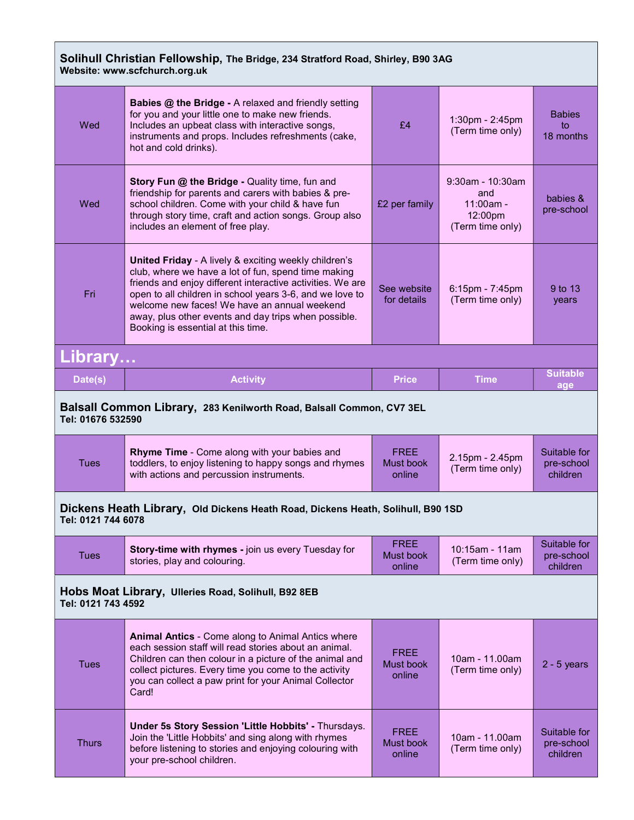## Solihull Christian Fellowship, The Bridge, 234 Stratford Road, Shirley, B90 3AG Website: www.scfchurch.org.uk

L

| Wed                                                                                                   | <b>Babies @ the Bridge - A relaxed and friendly setting</b><br>for you and your little one to make new friends.<br>Includes an upbeat class with interactive songs,<br>instruments and props. Includes refreshments (cake,<br>hot and cold drinks).                                                                                                                                             | £4                                        | 1:30pm - 2:45pm<br>(Term time only)                                      | <b>Babies</b><br>to<br>18 months       |
|-------------------------------------------------------------------------------------------------------|-------------------------------------------------------------------------------------------------------------------------------------------------------------------------------------------------------------------------------------------------------------------------------------------------------------------------------------------------------------------------------------------------|-------------------------------------------|--------------------------------------------------------------------------|----------------------------------------|
| Wed                                                                                                   | Story Fun @ the Bridge - Quality time, fun and<br>friendship for parents and carers with babies & pre-<br>school children. Come with your child & have fun<br>through story time, craft and action songs. Group also<br>includes an element of free play.                                                                                                                                       | £2 per family                             | $9:30$ am - 10:30am<br>and<br>$11:00am -$<br>12:00pm<br>(Term time only) | babies &<br>pre-school                 |
| Fri                                                                                                   | <b>United Friday - A lively &amp; exciting weekly children's</b><br>club, where we have a lot of fun, spend time making<br>friends and enjoy different interactive activities. We are<br>open to all children in school years 3-6, and we love to<br>welcome new faces! We have an annual weekend<br>away, plus other events and day trips when possible.<br>Booking is essential at this time. | See website<br>for details                | 6:15pm - 7:45pm<br>(Term time only)                                      | 9 to 13<br>years                       |
| Library                                                                                               |                                                                                                                                                                                                                                                                                                                                                                                                 |                                           |                                                                          |                                        |
| Date(s)                                                                                               | <b>Activity</b>                                                                                                                                                                                                                                                                                                                                                                                 | <b>Price</b>                              | <b>Time</b>                                                              | <b>Suitable</b><br>age                 |
| Tel: 01676 532590                                                                                     | Balsall Common Library, 283 Kenilworth Road, Balsall Common, CV7 3EL                                                                                                                                                                                                                                                                                                                            |                                           |                                                                          |                                        |
| <b>Tues</b>                                                                                           | Rhyme Time - Come along with your babies and<br>toddlers, to enjoy listening to happy songs and rhymes<br>with actions and percussion instruments.                                                                                                                                                                                                                                              | <b>FREE</b><br>Must book<br>online        | 2.15pm - 2.45pm<br>(Term time only)                                      | Suitable for<br>pre-school<br>children |
| Dickens Heath Library, Old Dickens Heath Road, Dickens Heath, Solihull, B90 1SD<br>Tel: 0121 744 6078 |                                                                                                                                                                                                                                                                                                                                                                                                 |                                           |                                                                          |                                        |
|                                                                                                       |                                                                                                                                                                                                                                                                                                                                                                                                 |                                           |                                                                          |                                        |
| Tues                                                                                                  | Story-time with rhymes - join us every Tuesday for<br>stories, play and colouring.                                                                                                                                                                                                                                                                                                              | <b>FREE</b><br><b>Must book</b><br>online | 10:15am - 11am<br>(Term time only)                                       | Suitable for<br>pre-school<br>children |
| Tel: 0121 743 4592                                                                                    | Hobs Moat Library, Ulleries Road, Solihull, B92 8EB                                                                                                                                                                                                                                                                                                                                             |                                           |                                                                          |                                        |
| <b>Tues</b>                                                                                           | <b>Animal Antics - Come along to Animal Antics where</b><br>each session staff will read stories about an animal.<br>Children can then colour in a picture of the animal and<br>collect pictures. Every time you come to the activity<br>you can collect a paw print for your Animal Collector<br>Card!                                                                                         | <b>FREE</b><br><b>Must book</b><br>online | 10am - 11.00am<br>(Term time only)                                       | $2 - 5$ years                          |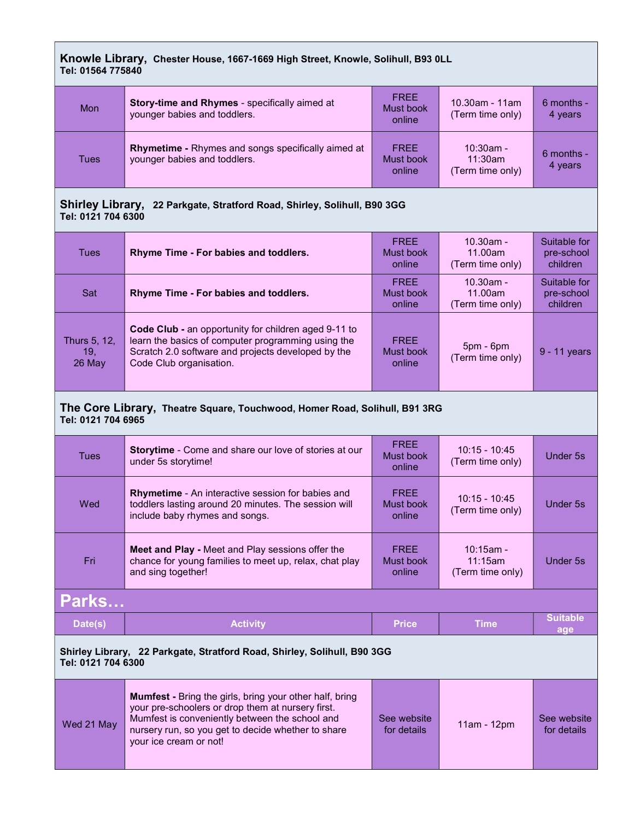### Knowle Library, Chester House, 1667-1669 High Street, Knowle, Solihull, B93 0LL Tel: 01564 775840

| Mon  | Story-time and Rhymes - specifically aimed at<br>younger babies and toddlers.             | <b>FREE</b><br>Must book<br>online | $10.30$ am - 11am<br>(Term time only)       | $6$ months -<br>4 years |
|------|-------------------------------------------------------------------------------------------|------------------------------------|---------------------------------------------|-------------------------|
| Tues | <b>Rhymetime - Rhymes and songs specifically aimed at</b><br>younger babies and toddlers. | <b>FREE</b><br>Must book<br>online | $10:30$ am -<br>11:30am<br>(Term time only) | 6 months -<br>4 years   |

### Shirley Library, 22 Parkgate, Stratford Road, Shirley, Solihull, B90 3GG Tel: 0121 704 6300

| <b>Tues</b>                     | Rhyme Time - For babies and toddlers.                                                                                                                                                              | <b>FREE</b><br>Must book<br>online | $10.30$ am -<br>11.00am<br>(Term time only) | Suitable for<br>pre-school<br>children |
|---------------------------------|----------------------------------------------------------------------------------------------------------------------------------------------------------------------------------------------------|------------------------------------|---------------------------------------------|----------------------------------------|
| Sat                             | Rhyme Time - For babies and toddlers.                                                                                                                                                              | <b>FREE</b><br>Must book<br>online | $10.30$ am -<br>11.00am<br>(Term time only) | Suitable for<br>pre-school<br>children |
| Thurs 5, 12,<br>19.<br>$26$ May | <b>Code Club - an opportunity for children aged 9-11 to</b><br>learn the basics of computer programming using the<br>Scratch 2.0 software and projects developed by the<br>Code Club organisation. | <b>FREE</b><br>Must book<br>online | $5pm - 6pm$<br>(Term time only)             | 9 - 11 years                           |

#### The Core Library, Theatre Square, Touchwood, Homer Road, Solihull, B91 3RG Tel: 0121 704 6965

| Tues                                                                     | <b>Storytime</b> - Come and share our love of stories at our<br>under 5s storytime!                                                                | <b>FREE</b><br>Must book<br>online | $10:15 - 10:45$<br>(Term time only)         | Under 5s               |
|--------------------------------------------------------------------------|----------------------------------------------------------------------------------------------------------------------------------------------------|------------------------------------|---------------------------------------------|------------------------|
| Wed                                                                      | <b>Rhymetime</b> - An interactive session for babies and<br>toddlers lasting around 20 minutes. The session will<br>include baby rhymes and songs. | <b>FREE</b><br>Must book<br>online | $10:15 - 10:45$<br>(Term time only)         | Under 5s               |
| Fri                                                                      | <b>Meet and Play - Meet and Play sessions offer the</b><br>chance for young families to meet up, relax, chat play<br>and sing together!            | <b>FREE</b><br>Must book<br>online | $10:15$ am -<br>11:15am<br>(Term time only) | Under 5s               |
| Parks                                                                    |                                                                                                                                                    |                                    |                                             |                        |
| Date(s)                                                                  | <b>Activity</b>                                                                                                                                    | <b>Price</b>                       | <b>Time</b>                                 | <b>Suitable</b><br>age |
| Shirley Library, 22 Parkgate, Stratford Road, Shirley, Solihull, B90 3GG |                                                                                                                                                    |                                    |                                             |                        |

Tel: 0121 704 6300

| <b>Mumfest</b> - Bring the girls, bring your other half, bring<br>your pre-schoolers or drop them at nursery first.<br>Mumfest is conveniently between the school and<br>Wed 21 May<br>nursery run, so you get to decide whether to share<br>your ice cream or not! | See website<br>for details | $11am - 12pm$ | See website<br>for details |
|---------------------------------------------------------------------------------------------------------------------------------------------------------------------------------------------------------------------------------------------------------------------|----------------------------|---------------|----------------------------|
|---------------------------------------------------------------------------------------------------------------------------------------------------------------------------------------------------------------------------------------------------------------------|----------------------------|---------------|----------------------------|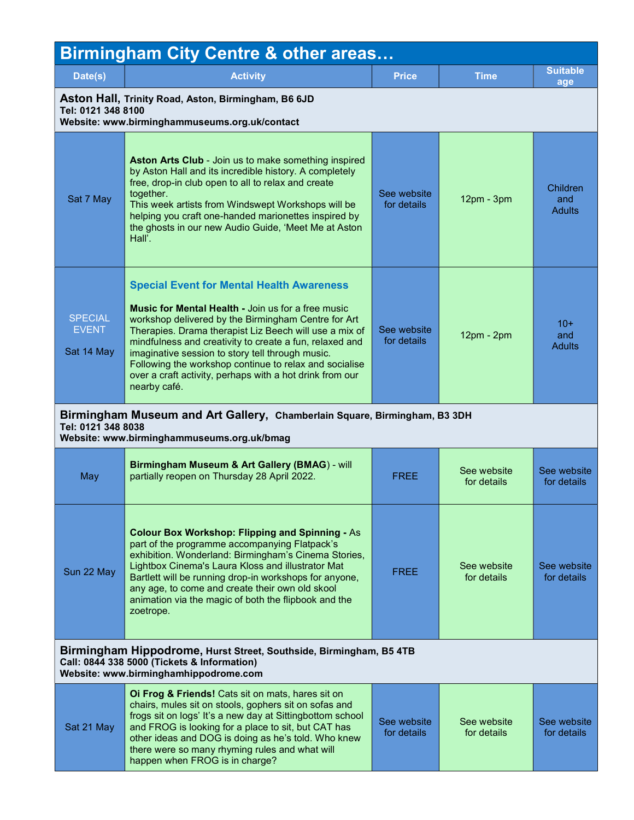| <b>Birmingham City Centre &amp; other areas</b>                                                                            |                                                                                                                                                                                                                                                                                                                                                                                                                                                                                     |                            |                            |                                  |  |
|----------------------------------------------------------------------------------------------------------------------------|-------------------------------------------------------------------------------------------------------------------------------------------------------------------------------------------------------------------------------------------------------------------------------------------------------------------------------------------------------------------------------------------------------------------------------------------------------------------------------------|----------------------------|----------------------------|----------------------------------|--|
| Date(s)                                                                                                                    | <b>Activity</b>                                                                                                                                                                                                                                                                                                                                                                                                                                                                     | <b>Price</b>               | <b>Time</b>                | <b>Suitable</b><br>age           |  |
| Aston Hall, Trinity Road, Aston, Birmingham, B6 6JD<br>Tel: 0121 348 8100<br>Website: www.birminghammuseums.org.uk/contact |                                                                                                                                                                                                                                                                                                                                                                                                                                                                                     |                            |                            |                                  |  |
| Sat 7 May                                                                                                                  | Aston Arts Club - Join us to make something inspired<br>by Aston Hall and its incredible history. A completely<br>free, drop-in club open to all to relax and create<br>together.<br>This week artists from Windswept Workshops will be<br>helping you craft one-handed marionettes inspired by<br>the ghosts in our new Audio Guide, 'Meet Me at Aston<br>Hall'.                                                                                                                   | See website<br>for details | $12pm - 3pm$               | Children<br>and<br><b>Adults</b> |  |
| <b>SPECIAL</b><br><b>EVENT</b><br>Sat 14 May                                                                               | <b>Special Event for Mental Health Awareness</b><br><b>Music for Mental Health - Join us for a free music</b><br>workshop delivered by the Birmingham Centre for Art<br>Therapies. Drama therapist Liz Beech will use a mix of<br>mindfulness and creativity to create a fun, relaxed and<br>imaginative session to story tell through music.<br>Following the workshop continue to relax and socialise<br>over a craft activity, perhaps with a hot drink from our<br>nearby café. | See website<br>for details | $12pm - 2pm$               | $10+$<br>and<br><b>Adults</b>    |  |
| Tel: 0121 348 8038                                                                                                         | Birmingham Museum and Art Gallery, Chamberlain Square, Birmingham, B3 3DH<br>Website: www.birminghammuseums.org.uk/bmag                                                                                                                                                                                                                                                                                                                                                             |                            |                            |                                  |  |
| May                                                                                                                        | Birmingham Museum & Art Gallery (BMAG) - will<br>partially reopen on Thursday 28 April 2022.                                                                                                                                                                                                                                                                                                                                                                                        | <b>FREE</b>                | See website<br>for details | See website<br>for details       |  |
| Sun 22 May                                                                                                                 | <b>Colour Box Workshop: Flipping and Spinning - As</b><br>part of the programme accompanying Flatpack's<br>exhibition. Wonderland: Birmingham's Cinema Stories,<br>Lightbox Cinema's Laura Kloss and illustrator Mat<br>Bartlett will be running drop-in workshops for anyone,<br>any age, to come and create their own old skool<br>animation via the magic of both the flipbook and the<br>zoetrope.                                                                              | <b>FREE</b>                | See website<br>for details | See website<br>for details       |  |
|                                                                                                                            | Birmingham Hippodrome, Hurst Street, Southside, Birmingham, B5 4TB<br>Call: 0844 338 5000 (Tickets & Information)<br>Website: www.birminghamhippodrome.com                                                                                                                                                                                                                                                                                                                          |                            |                            |                                  |  |
| Sat 21 May                                                                                                                 | Oi Frog & Friends! Cats sit on mats, hares sit on<br>chairs, mules sit on stools, gophers sit on sofas and<br>frogs sit on logs' It's a new day at Sittingbottom school<br>and FROG is looking for a place to sit, but CAT has<br>other ideas and DOG is doing as he's told. Who knew<br>there were so many rhyming rules and what will<br>happen when FROG is in charge?                                                                                                           | See website<br>for details | See website<br>for details | See website<br>for details       |  |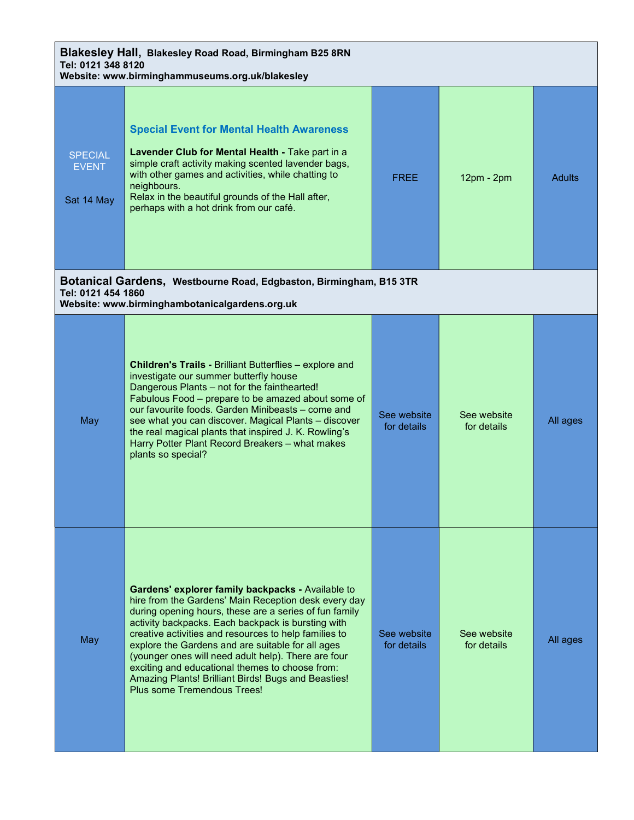| Blakesley Hall, Blakesley Road Road, Birmingham B25 8RN<br>Tel: 0121 348 8120<br>Website: www.birminghammuseums.org.uk/blakesley |                                                                                                                                                                                                                                                                                                                                                                                                                                                                                                                                         |                            |                            |               |
|----------------------------------------------------------------------------------------------------------------------------------|-----------------------------------------------------------------------------------------------------------------------------------------------------------------------------------------------------------------------------------------------------------------------------------------------------------------------------------------------------------------------------------------------------------------------------------------------------------------------------------------------------------------------------------------|----------------------------|----------------------------|---------------|
| <b>SPECIAL</b><br><b>EVENT</b><br>Sat 14 May                                                                                     | <b>Special Event for Mental Health Awareness</b><br>Lavender Club for Mental Health - Take part in a<br>simple craft activity making scented lavender bags,<br>with other games and activities, while chatting to<br>neighbours.<br>Relax in the beautiful grounds of the Hall after,<br>perhaps with a hot drink from our café.                                                                                                                                                                                                        | <b>FREE</b>                | 12pm - 2pm                 | <b>Adults</b> |
| Tel: 0121 454 1860                                                                                                               | Botanical Gardens, Westbourne Road, Edgbaston, Birmingham, B15 3TR<br>Website: www.birminghambotanicalgardens.org.uk                                                                                                                                                                                                                                                                                                                                                                                                                    |                            |                            |               |
| May                                                                                                                              | Children's Trails - Brilliant Butterflies - explore and<br>investigate our summer butterfly house<br>Dangerous Plants - not for the fainthearted!<br>Fabulous Food - prepare to be amazed about some of<br>our favourite foods. Garden Minibeasts – come and<br>see what you can discover. Magical Plants - discover<br>the real magical plants that inspired J. K. Rowling's<br>Harry Potter Plant Record Breakers - what makes<br>plants so special?                                                                                  | See website<br>for details | See website<br>for details | All ages      |
| May                                                                                                                              | Gardens' explorer family backpacks - Available to<br>hire from the Gardens' Main Reception desk every day<br>during opening hours, these are a series of fun family<br>activity backpacks. Each backpack is bursting with<br>creative activities and resources to help families to<br>explore the Gardens and are suitable for all ages<br>(younger ones will need adult help). There are four<br>exciting and educational themes to choose from:<br>Amazing Plants! Brilliant Birds! Bugs and Beasties!<br>Plus some Tremendous Trees! | See website<br>for details | See website<br>for details | All ages      |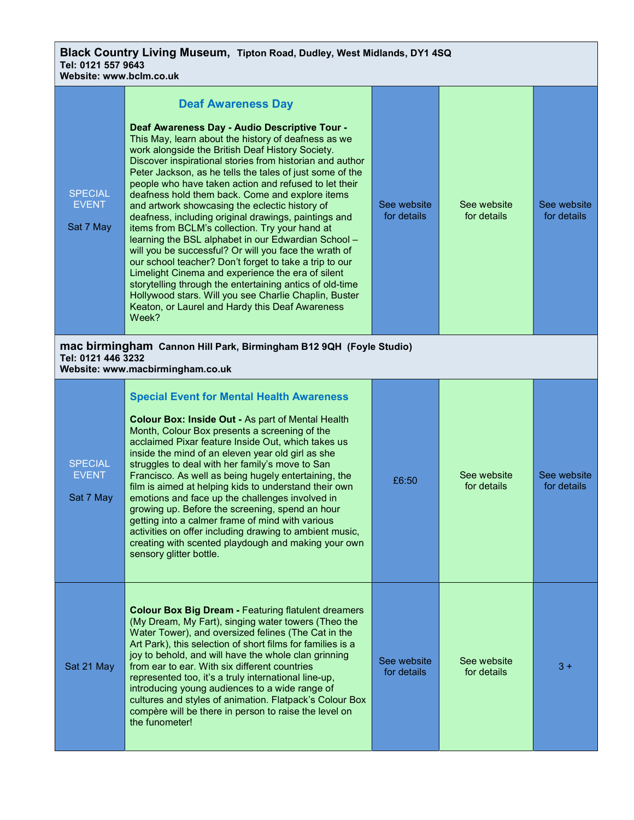Black Country Living Museum, Tipton Road, Dudley, West Midlands, DY1 4SQ Tel: 0121 557 9643

| Website: www.bclm.co.uk                     |                                                                                                                                                                                                                                                                                                                                                                                                                                                                                                                                                                                                                                                                                                                                                                                                                                                                                                                                                                                                       |                            |                            |                            |
|---------------------------------------------|-------------------------------------------------------------------------------------------------------------------------------------------------------------------------------------------------------------------------------------------------------------------------------------------------------------------------------------------------------------------------------------------------------------------------------------------------------------------------------------------------------------------------------------------------------------------------------------------------------------------------------------------------------------------------------------------------------------------------------------------------------------------------------------------------------------------------------------------------------------------------------------------------------------------------------------------------------------------------------------------------------|----------------------------|----------------------------|----------------------------|
| <b>SPECIAL</b><br><b>EVENT</b><br>Sat 7 May | <b>Deaf Awareness Day</b><br>Deaf Awareness Day - Audio Descriptive Tour -<br>This May, learn about the history of deafness as we<br>work alongside the British Deaf History Society.<br>Discover inspirational stories from historian and author<br>Peter Jackson, as he tells the tales of just some of the<br>people who have taken action and refused to let their<br>deafness hold them back. Come and explore items<br>and artwork showcasing the eclectic history of<br>deafness, including original drawings, paintings and<br>items from BCLM's collection. Try your hand at<br>learning the BSL alphabet in our Edwardian School -<br>will you be successful? Or will you face the wrath of<br>our school teacher? Don't forget to take a trip to our<br>Limelight Cinema and experience the era of silent<br>storytelling through the entertaining antics of old-time<br>Hollywood stars. Will you see Charlie Chaplin, Buster<br>Keaton, or Laurel and Hardy this Deaf Awareness<br>Week? | See website<br>for details | See website<br>for details | See website<br>for details |
| Tel: 0121 446 3232                          | mac birmingham Cannon Hill Park, Birmingham B12 9QH (Foyle Studio)<br>Website: www.macbirmingham.co.uk                                                                                                                                                                                                                                                                                                                                                                                                                                                                                                                                                                                                                                                                                                                                                                                                                                                                                                |                            |                            |                            |
| <b>SPECIAL</b><br><b>EVENT</b><br>Sat 7 May | <b>Special Event for Mental Health Awareness</b><br>Colour Box: Inside Out - As part of Mental Health<br>Month, Colour Box presents a screening of the<br>acclaimed Pixar feature Inside Out, which takes us<br>inside the mind of an eleven year old girl as she<br>struggles to deal with her family's move to San<br>Francisco. As well as being hugely entertaining, the<br>film is aimed at helping kids to understand their own<br>emotions and face up the challenges involved in<br>growing up. Before the screening, spend an hour<br>getting into a calmer frame of mind with various<br>activities on offer including drawing to ambient music,<br>creating with scented playdough and making your own<br>sensory glitter bottle.                                                                                                                                                                                                                                                          | £6:50                      | See website<br>for details | See website<br>for details |
| Sat 21 May                                  | <b>Colour Box Big Dream - Featuring flatulent dreamers</b><br>(My Dream, My Fart), singing water towers (Theo the<br>Water Tower), and oversized felines (The Cat in the<br>Art Park), this selection of short films for families is a<br>joy to behold, and will have the whole clan grinning<br>from ear to ear. With six different countries<br>represented too, it's a truly international line-up,<br>introducing young audiences to a wide range of<br>cultures and styles of animation. Flatpack's Colour Box<br>compère will be there in person to raise the level on<br>the funometer!                                                                                                                                                                                                                                                                                                                                                                                                       | See website<br>for details | See website<br>for details | $3+$                       |